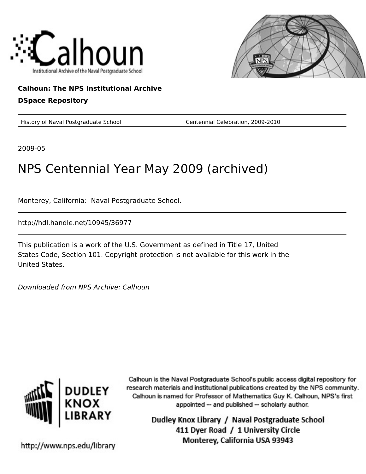



#### **Calhoun: The NPS Institutional Archive DSpace Repository**

History of Naval Postgraduate School Centennial Celebration, 2009-2010

2009-05

# NPS Centennial Year May 2009 (archived)

Monterey, California: Naval Postgraduate School.

http://hdl.handle.net/10945/36977

This publication is a work of the U.S. Government as defined in Title 17, United States Code, Section 101. Copyright protection is not available for this work in the United States.

Downloaded from NPS Archive: Calhoun



Calhoun is the Naval Postgraduate School's public access digital repository for research materials and institutional publications created by the NPS community. Calhoun is named for Professor of Mathematics Guy K. Calhoun, NPS's first appointed -- and published -- scholarly author.

> Dudley Knox Library / Naval Postgraduate School 411 Dyer Road / 1 University Circle Monterey, California USA 93943

http://www.nps.edu/library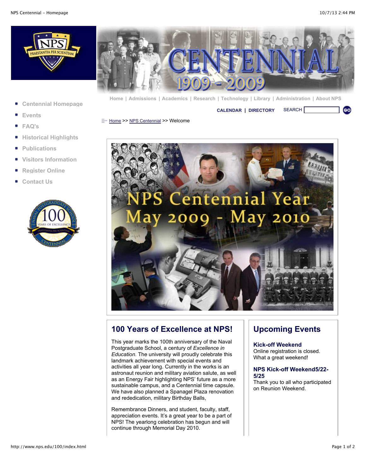**GO** 





**[Home](http://www.nps.edu/index.html) | [Admissions](http://www.nps.edu/Academics/Admissions/index.html) | [Academics](http://www.nps.edu/Academics/index.html) | [Research](http://www.nps.edu/Research/index.html) | [Technology](http://www.nps.edu/Technology/index.html) | [Library](http://www.nps.edu/Library/index.html) | [Administration](http://www.nps.edu/Administration/) | [About NPS](http://www.nps.edu/About/index.html)**

**[Centennial Homepage](http://www.nps.edu/100/index.html)**

**[CALENDAR](http://www.nps.edu/About/Events/AcadCalendar.html) | [DIRECTORY](http://www.nps.edu/About/NPSInfo/directory.html)** SEARCH

- **[Events](http://www.nps.edu/100/PDF/Kickoff_Schedule_of_Events%202.pdf)**
- **[FAQ's](http://www.nps.edu/100/FAQ.html)**
- **[Historical Highlights](http://www.nps.edu/100/HistoricalHighlights.html)**
- **[Publications](http://www.nps.edu/100/Publications.html)**
- **[Visitors Information](http://www.nps.edu/100/VisitorInformation.html)**
- **[Register Online](http://nps.imodules.com/s/725/index.aspx?sid=725&gid=1&pgid=326&cid=911&ecid=911&crid=0&calpgid=13&calcid=670)**
- **[Contact Us](http://www.nps.edu/100/ContactUs.html)**



[Home](http://www.nps.edu/Home.aspx) >> [NPS Centennial](http://www.nps.edu/AboutNPS/Centennial/index.html) >> Welcome



#### **100 Years of Excellence at NPS!**

This year marks the 100th anniversary of the Naval Postgraduate School, a century of *Excellence in Education*. The university will proudly celebrate this landmark achievement with special events and activities all year long. Currently in the works is an astronaut reunion and military aviation salute, as well as an Energy Fair highlighting NPS' future as a more sustainable campus, and a Centennial time capsule. We have also planned a Spanagel Plaza renovation and rededication, military Birthday Balls,

Remembrance Dinners, and student, faculty, staff, appreciation events. It's a great year to be a part of NPS! The yearlong celebration has begun and will continue through Memorial Day 2010.

### **Upcoming Events**

**Kick-off Weekend**  Online registration is closed. What a great weekend!

#### **NPS Kick-off Weekend5/22- 5/25**

Thank you to all who participated on Reunion Weekend.